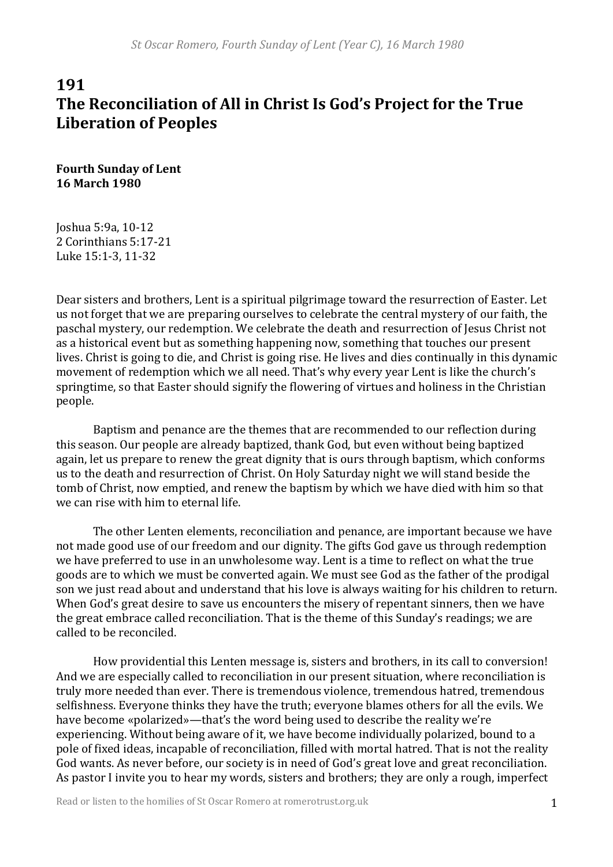# **191** The Reconciliation of All in Christ Is God's Project for the True **Liberation of Peoples**

**Fourth Sunday of Lent 16 March 1980**

Joshua 5:9a, 10-12 2 Corinthians 5:17-21 Luke 15:1-3, 11-32

Dear sisters and brothers, Lent is a spiritual pilgrimage toward the resurrection of Easter. Let us not forget that we are preparing ourselves to celebrate the central mystery of our faith, the paschal mystery, our redemption. We celebrate the death and resurrection of Jesus Christ not as a historical event but as something happening now, something that touches our present lives. Christ is going to die, and Christ is going rise. He lives and dies continually in this dynamic movement of redemption which we all need. That's why every year Lent is like the church's springtime, so that Easter should signify the flowering of virtues and holiness in the Christian people.

Baptism and penance are the themes that are recommended to our reflection during this season. Our people are already baptized, thank God, but even without being baptized again, let us prepare to renew the great dignity that is ours through baptism, which conforms us to the death and resurrection of Christ. On Holy Saturday night we will stand beside the tomb of Christ, now emptied, and renew the baptism by which we have died with him so that we can rise with him to eternal life.

The other Lenten elements, reconciliation and penance, are important because we have not made good use of our freedom and our dignity. The gifts God gave us through redemption we have preferred to use in an unwholesome way. Lent is a time to reflect on what the true goods are to which we must be converted again. We must see God as the father of the prodigal son we just read about and understand that his love is always waiting for his children to return. When God's great desire to save us encounters the misery of repentant sinners, then we have the great embrace called reconciliation. That is the theme of this Sunday's readings; we are called to be reconciled.

How providential this Lenten message is, sisters and brothers, in its call to conversion! And we are especially called to reconciliation in our present situation, where reconciliation is truly more needed than ever. There is tremendous violence, tremendous hatred, tremendous selfishness. Everyone thinks they have the truth; everyone blames others for all the evils. We have become «polarized»—that's the word being used to describe the reality we're experiencing. Without being aware of it, we have become individually polarized, bound to a pole of fixed ideas, incapable of reconciliation, filled with mortal hatred. That is not the reality God wants. As never before, our society is in need of God's great love and great reconciliation. As pastor I invite you to hear my words, sisters and brothers; they are only a rough, imperfect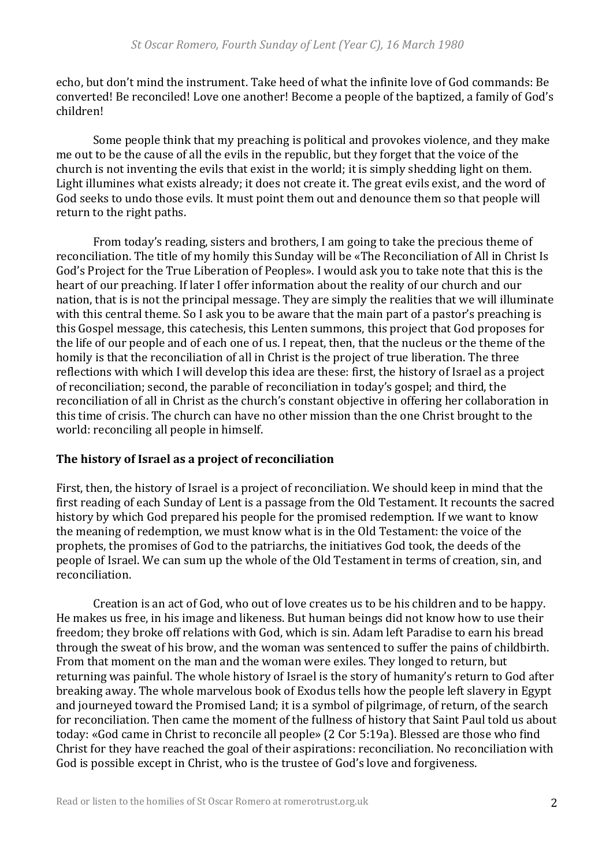echo, but don't mind the instrument. Take heed of what the infinite love of God commands: Be converted! Be reconciled! Love one another! Become a people of the baptized, a family of God's children! 

Some people think that my preaching is political and provokes violence, and they make me out to be the cause of all the evils in the republic, but they forget that the voice of the church is not inventing the evils that exist in the world; it is simply shedding light on them. Light illumines what exists already; it does not create it. The great evils exist, and the word of God seeks to undo those evils. It must point them out and denounce them so that people will return to the right paths.

From today's reading, sisters and brothers, I am going to take the precious theme of reconciliation. The title of my homily this Sunday will be «The Reconciliation of All in Christ Is God's Project for the True Liberation of Peoples». I would ask you to take note that this is the heart of our preaching. If later I offer information about the reality of our church and our nation, that is is not the principal message. They are simply the realities that we will illuminate with this central theme. So I ask you to be aware that the main part of a pastor's preaching is this Gospel message, this catechesis, this Lenten summons, this project that God proposes for the life of our people and of each one of us. I repeat, then, that the nucleus or the theme of the homily is that the reconciliation of all in Christ is the project of true liberation. The three reflections with which I will develop this idea are these: first, the history of Israel as a project of reconciliation; second, the parable of reconciliation in today's gospel; and third, the reconciliation of all in Christ as the church's constant objective in offering her collaboration in this time of crisis. The church can have no other mission than the one Christ brought to the world: reconciling all people in himself.

#### The history of Israel as a project of reconciliation

First, then, the history of Israel is a project of reconciliation. We should keep in mind that the first reading of each Sunday of Lent is a passage from the Old Testament. It recounts the sacred history by which God prepared his people for the promised redemption. If we want to know the meaning of redemption, we must know what is in the Old Testament: the voice of the prophets, the promises of God to the patriarchs, the initiatives God took, the deeds of the people of Israel. We can sum up the whole of the Old Testament in terms of creation, sin, and reconciliation. 

Creation is an act of God, who out of love creates us to be his children and to be happy. He makes us free, in his image and likeness. But human beings did not know how to use their freedom; they broke off relations with God, which is sin. Adam left Paradise to earn his bread through the sweat of his brow, and the woman was sentenced to suffer the pains of childbirth. From that moment on the man and the woman were exiles. They longed to return, but returning was painful. The whole history of Israel is the story of humanity's return to God after breaking away. The whole marvelous book of Exodus tells how the people left slavery in Egypt and journeyed toward the Promised Land; it is a symbol of pilgrimage, of return, of the search for reconciliation. Then came the moment of the fullness of history that Saint Paul told us about today: «God came in Christ to reconcile all people» (2 Cor 5:19a). Blessed are those who find Christ for they have reached the goal of their aspirations: reconciliation. No reconciliation with God is possible except in Christ, who is the trustee of God's love and forgiveness.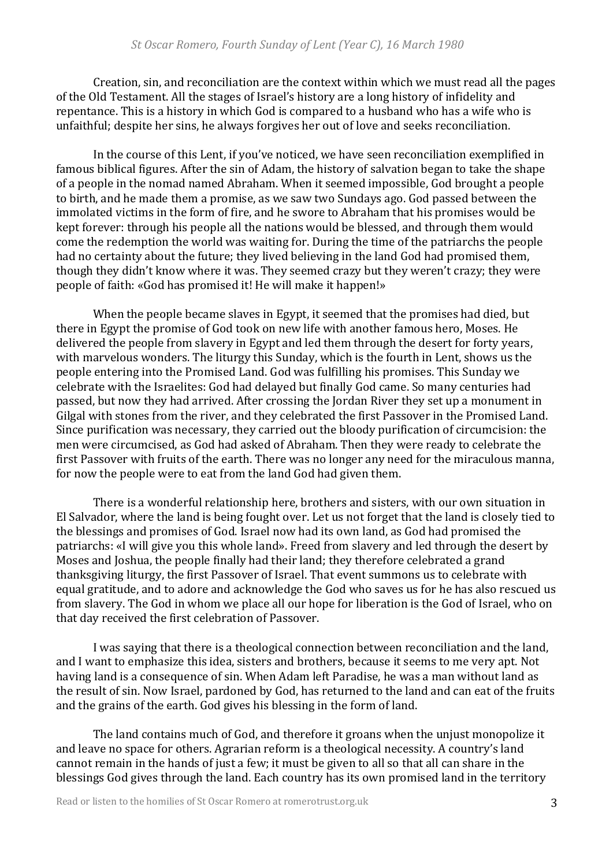Creation, sin, and reconciliation are the context within which we must read all the pages of the Old Testament. All the stages of Israel's history are a long history of infidelity and repentance. This is a history in which God is compared to a husband who has a wife who is unfaithful; despite her sins, he always forgives her out of love and seeks reconciliation.

In the course of this Lent, if you've noticed, we have seen reconciliation exemplified in famous biblical figures. After the sin of Adam, the history of salvation began to take the shape of a people in the nomad named Abraham. When it seemed impossible, God brought a people to birth, and he made them a promise, as we saw two Sundays ago. God passed between the immolated victims in the form of fire, and he swore to Abraham that his promises would be kept forever: through his people all the nations would be blessed, and through them would come the redemption the world was waiting for. During the time of the patriarchs the people had no certainty about the future; they lived believing in the land God had promised them, though they didn't know where it was. They seemed crazy but they weren't crazy; they were people of faith: «God has promised it! He will make it happen!»

When the people became slaves in Egypt, it seemed that the promises had died, but there in Egypt the promise of God took on new life with another famous hero, Moses. He delivered the people from slavery in Egypt and led them through the desert for forty years, with marvelous wonders. The liturgy this Sunday, which is the fourth in Lent, shows us the people entering into the Promised Land. God was fulfilling his promises. This Sunday we celebrate with the Israelites: God had delayed but finally God came. So many centuries had passed, but now they had arrived. After crossing the Jordan River they set up a monument in Gilgal with stones from the river, and they celebrated the first Passover in the Promised Land. Since purification was necessary, they carried out the bloody purification of circumcision: the men were circumcised, as God had asked of Abraham. Then they were ready to celebrate the first Passover with fruits of the earth. There was no longer any need for the miraculous manna, for now the people were to eat from the land God had given them.

There is a wonderful relationship here, brothers and sisters, with our own situation in El Salvador, where the land is being fought over. Let us not forget that the land is closely tied to the blessings and promises of God. Israel now had its own land, as God had promised the patriarchs: «I will give you this whole land». Freed from slavery and led through the desert by Moses and Joshua, the people finally had their land; they therefore celebrated a grand thanksgiving liturgy, the first Passover of Israel. That event summons us to celebrate with equal gratitude, and to adore and acknowledge the God who saves us for he has also rescued us from slavery. The God in whom we place all our hope for liberation is the God of Israel, who on that day received the first celebration of Passover.

I was saying that there is a theological connection between reconciliation and the land, and I want to emphasize this idea, sisters and brothers, because it seems to me very apt. Not having land is a consequence of sin. When Adam left Paradise, he was a man without land as the result of sin. Now Israel, pardoned by God, has returned to the land and can eat of the fruits and the grains of the earth. God gives his blessing in the form of land.

The land contains much of God, and therefore it groans when the unjust monopolize it and leave no space for others. Agrarian reform is a theological necessity. A country's land cannot remain in the hands of just a few; it must be given to all so that all can share in the blessings God gives through the land. Each country has its own promised land in the territory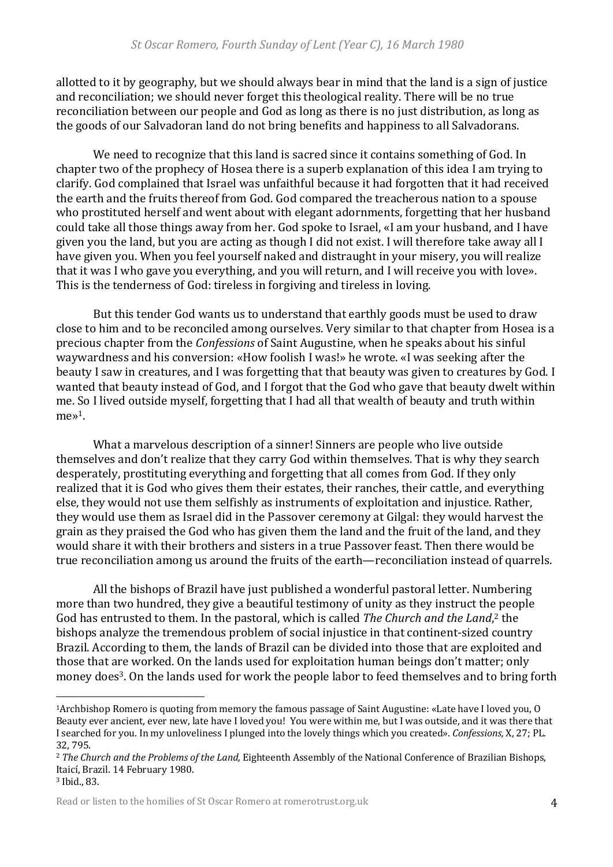allotted to it by geography, but we should always bear in mind that the land is a sign of justice and reconciliation; we should never forget this theological reality. There will be no true reconciliation between our people and God as long as there is no just distribution, as long as the goods of our Salvadoran land do not bring benefits and happiness to all Salvadorans.

We need to recognize that this land is sacred since it contains something of God. In chapter two of the prophecy of Hosea there is a superb explanation of this idea I am trying to clarify. God complained that Israel was unfaithful because it had forgotten that it had received the earth and the fruits thereof from God. God compared the treacherous nation to a spouse who prostituted herself and went about with elegant adornments, forgetting that her husband could take all those things away from her. God spoke to Israel, «I am your husband, and I have given you the land, but you are acting as though I did not exist. I will therefore take away all I have given you. When you feel yourself naked and distraught in your misery, you will realize that it was I who gave you everything, and you will return, and I will receive you with love». This is the tenderness of God: tireless in forgiving and tireless in loving.

But this tender God wants us to understand that earthly goods must be used to draw close to him and to be reconciled among ourselves. Very similar to that chapter from Hosea is a precious chapter from the *Confessions* of Saint Augustine, when he speaks about his sinful waywardness and his conversion: «How foolish I was!» he wrote. «I was seeking after the beauty I saw in creatures, and I was forgetting that that beauty was given to creatures by God. I wanted that beauty instead of God, and I forgot that the God who gave that beauty dwelt within me. So I lived outside myself, forgetting that I had all that wealth of beauty and truth within me<sup>s1</sup>.

What a marvelous description of a sinner! Sinners are people who live outside themselves and don't realize that they carry God within themselves. That is why they search desperately, prostituting everything and forgetting that all comes from God. If they only realized that it is God who gives them their estates, their ranches, their cattle, and everything else, they would not use them selfishly as instruments of exploitation and injustice. Rather, they would use them as Israel did in the Passover ceremony at Gilgal: they would harvest the grain as they praised the God who has given them the land and the fruit of the land, and they would share it with their brothers and sisters in a true Passover feast. Then there would be true reconciliation among us around the fruits of the earth—reconciliation instead of quarrels.

All the bishops of Brazil have just published a wonderful pastoral letter. Numbering more than two hundred, they give a beautiful testimony of unity as they instruct the people God has entrusted to them. In the pastoral, which is called The Church and the Land,<sup>2</sup> the bishops analyze the tremendous problem of social injustice in that continent-sized country Brazil. According to them, the lands of Brazil can be divided into those that are exploited and those that are worked. On the lands used for exploitation human beings don't matter; only money does<sup>3</sup>. On the lands used for work the people labor to feed themselves and to bring forth

<sup>&</sup>lt;sup>1</sup>Archbishop Romero is quoting from memory the famous passage of Saint Augustine: «Late have I loved you, O Beauty ever ancient, ever new, late have I loved you! You were within me, but I was outside, and it was there that I searched for you. In my unloveliness I plunged into the lovely things which you created». *Confessions,* X, 27; PL. 32, 795.

<sup>&</sup>lt;sup>2</sup> *The Church and the Problems of the Land,* Eighteenth Assembly of the National Conference of Brazilian Bishops, Itaicí, Brazil. 14 February 1980.

<sup>&</sup>lt;sup>3</sup> Ibid., 83.

Read or listen to the homilies of St Oscar Romero at romerotrust.org.uk 4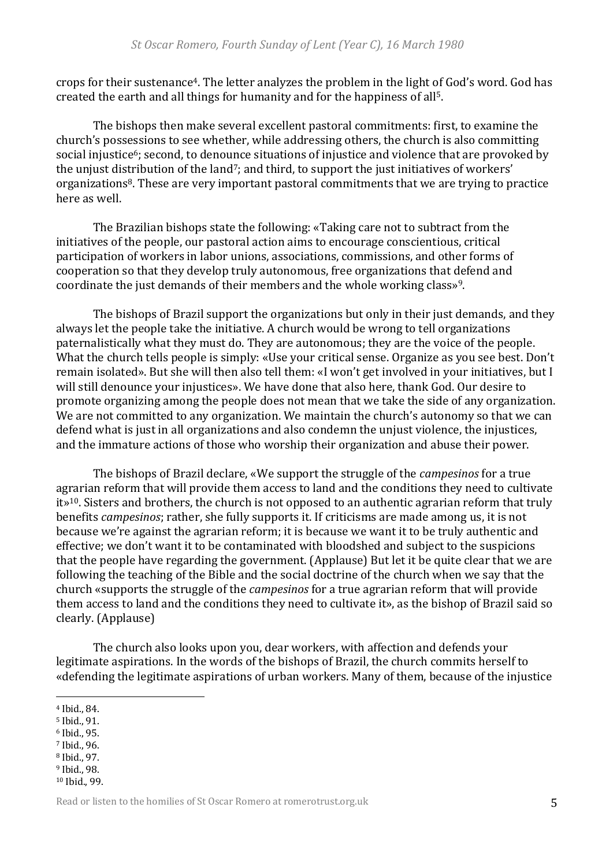crops for their sustenance<sup>4</sup>. The letter analyzes the problem in the light of God's word. God has created the earth and all things for humanity and for the happiness of all<sup>5</sup>.

The bishops then make several excellent pastoral commitments: first, to examine the church's possessions to see whether, while addressing others, the church is also committing social injustice<sup>6</sup>; second, to denounce situations of injustice and violence that are provoked by the unjust distribution of the land<sup>7</sup>; and third, to support the just initiatives of workers' organizations<sup>8</sup>. These are very important pastoral commitments that we are trying to practice here as well.

The Brazilian bishops state the following: «Taking care not to subtract from the initiatives of the people, our pastoral action aims to encourage conscientious, critical participation of workers in labor unions, associations, commissions, and other forms of cooperation so that they develop truly autonomous, free organizations that defend and coordinate the just demands of their members and the whole working class»<sup>9</sup>.

The bishops of Brazil support the organizations but only in their just demands, and they always let the people take the initiative. A church would be wrong to tell organizations paternalistically what they must do. They are autonomous; they are the voice of the people. What the church tells people is simply: «Use your critical sense. Organize as you see best. Don't remain isolated». But she will then also tell them: «I won't get involved in your initiatives, but I will still denounce your injustices». We have done that also here, thank God. Our desire to promote organizing among the people does not mean that we take the side of any organization. We are not committed to any organization. We maintain the church's autonomy so that we can defend what is just in all organizations and also condemn the unjust violence, the injustices, and the immature actions of those who worship their organization and abuse their power.

The bishops of Brazil declare, «We support the struggle of the *campesinos* for a true agrarian reform that will provide them access to land and the conditions they need to cultivate  $it\rightarrow$ <sup>10</sup>. Sisters and brothers, the church is not opposed to an authentic agrarian reform that truly benefits *campesinos*; rather, she fully supports it. If criticisms are made among us, it is not because we're against the agrarian reform; it is because we want it to be truly authentic and effective; we don't want it to be contaminated with bloodshed and subject to the suspicions that the people have regarding the government. (Applause) But let it be quite clear that we are following the teaching of the Bible and the social doctrine of the church when we say that the church «supports the struggle of the *campesinos* for a true agrarian reform that will provide them access to land and the conditions they need to cultivate it», as the bishop of Brazil said so clearly. (Applause)

The church also looks upon you, dear workers, with affection and defends your legitimate aspirations. In the words of the bishops of Brazil, the church commits herself to «defending the legitimate aspirations of urban workers. Many of them, because of the injustice

- <sup>5</sup> Ibid., 91.
- <sup>6</sup> Ibid., 95.
- 7 Ibid., 96.
- <sup>8</sup> Ibid., 97.
- <sup>9</sup> Ibid., 98. <sup>10</sup> Ibid., 99.

<sup>&</sup>lt;sup>4</sup> Ibid., 84.

Read or listen to the homilies of St Oscar Romero at romerotrust.org.uk 5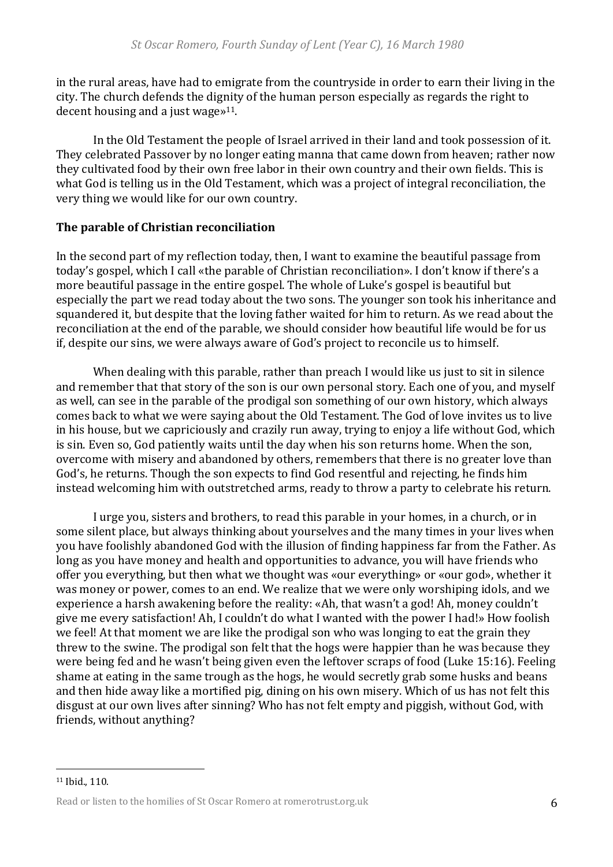in the rural areas, have had to emigrate from the countryside in order to earn their living in the city. The church defends the dignity of the human person especially as regards the right to decent housing and a just wage $*^{11}$ .

In the Old Testament the people of Israel arrived in their land and took possession of it. They celebrated Passover by no longer eating manna that came down from heaven; rather now they cultivated food by their own free labor in their own country and their own fields. This is what God is telling us in the Old Testament, which was a project of integral reconciliation, the very thing we would like for our own country.

### **The parable of Christian reconciliation**

In the second part of my reflection today, then, I want to examine the beautiful passage from today's gospel, which I call «the parable of Christian reconciliation». I don't know if there's a more beautiful passage in the entire gospel. The whole of Luke's gospel is beautiful but especially the part we read today about the two sons. The younger son took his inheritance and squandered it, but despite that the loving father waited for him to return. As we read about the reconciliation at the end of the parable, we should consider how beautiful life would be for us if, despite our sins, we were always aware of God's project to reconcile us to himself.

When dealing with this parable, rather than preach I would like us just to sit in silence and remember that that story of the son is our own personal story. Each one of you, and myself as well, can see in the parable of the prodigal son something of our own history, which always comes back to what we were saying about the Old Testament. The God of love invites us to live in his house, but we capriciously and crazily run away, trying to enjoy a life without God, which is sin. Even so, God patiently waits until the day when his son returns home. When the son, overcome with misery and abandoned by others, remembers that there is no greater love than God's, he returns. Though the son expects to find God resentful and rejecting, he finds him instead welcoming him with outstretched arms, ready to throw a party to celebrate his return.

I urge you, sisters and brothers, to read this parable in your homes, in a church, or in some silent place, but always thinking about yourselves and the many times in your lives when you have foolishly abandoned God with the illusion of finding happiness far from the Father. As long as you have money and health and opportunities to advance, you will have friends who offer you everything, but then what we thought was «our everything» or «our god», whether it was money or power, comes to an end. We realize that we were only worshiping idols, and we experience a harsh awakening before the reality: «Ah, that wasn't a god! Ah, money couldn't give me every satisfaction! Ah, I couldn't do what I wanted with the power I had!» How foolish we feel! At that moment we are like the prodigal son who was longing to eat the grain they threw to the swine. The prodigal son felt that the hogs were happier than he was because they were being fed and he wasn't being given even the leftover scraps of food (Luke 15:16). Feeling shame at eating in the same trough as the hogs, he would secretly grab some husks and beans and then hide away like a mortified pig, dining on his own misery. Which of us has not felt this disgust at our own lives after sinning? Who has not felt empty and piggish, without God, with friends, without anything?

<sup>11</sup> Ibid., 110.

Read or listen to the homilies of St Oscar Romero at romerotrust.org.uk 6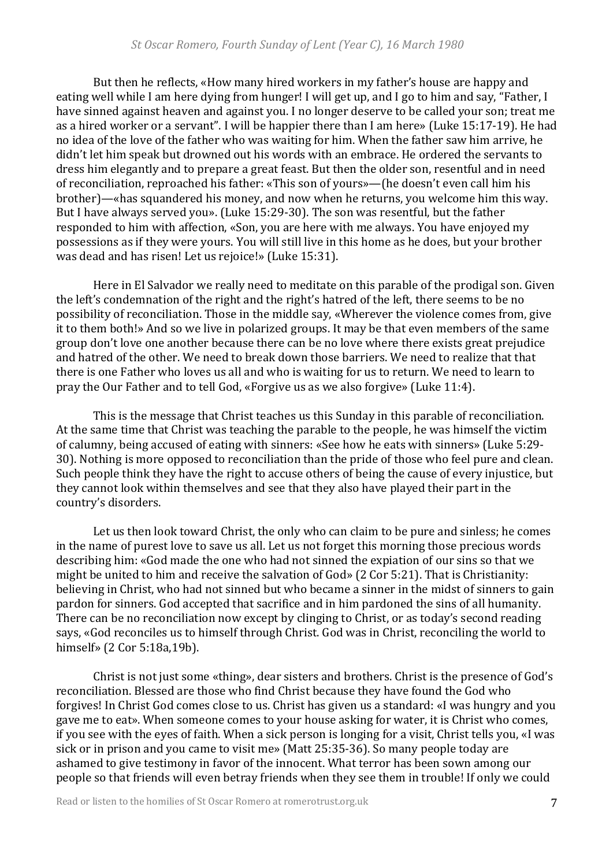But then he reflects, «How many hired workers in my father's house are happy and eating well while I am here dying from hunger! I will get up, and I go to him and say, "Father, I have sinned against heaven and against you. I no longer deserve to be called your son; treat me as a hired worker or a servant". I will be happier there than I am here» (Luke 15:17-19). He had no idea of the love of the father who was waiting for him. When the father saw him arrive, he didn't let him speak but drowned out his words with an embrace. He ordered the servants to dress him elegantly and to prepare a great feast. But then the older son, resentful and in need of reconciliation, reproached his father: «This son of yours»—(he doesn't even call him his brother)—«has squandered his money, and now when he returns, you welcome him this way. But I have always served you». (Luke 15:29-30). The son was resentful, but the father responded to him with affection, «Son, you are here with me always. You have enjoyed my possessions as if they were yours. You will still live in this home as he does, but your brother was dead and has risen! Let us rejoice!» (Luke 15:31).

Here in El Salvador we really need to meditate on this parable of the prodigal son. Given the left's condemnation of the right and the right's hatred of the left, there seems to be no possibility of reconciliation. Those in the middle say, «Wherever the violence comes from, give it to them both!» And so we live in polarized groups. It may be that even members of the same group don't love one another because there can be no love where there exists great prejudice and hatred of the other. We need to break down those barriers. We need to realize that that there is one Father who loves us all and who is waiting for us to return. We need to learn to pray the Our Father and to tell God, «Forgive us as we also forgive» (Luke 11:4).

This is the message that Christ teaches us this Sunday in this parable of reconciliation. At the same time that Christ was teaching the parable to the people, he was himself the victim of calumny, being accused of eating with sinners: «See how he eats with sinners» (Luke 5:29-30). Nothing is more opposed to reconciliation than the pride of those who feel pure and clean. Such people think they have the right to accuse others of being the cause of every injustice, but they cannot look within themselves and see that they also have played their part in the country's disorders.

Let us then look toward Christ, the only who can claim to be pure and sinless; he comes in the name of purest love to save us all. Let us not forget this morning those precious words describing him: «God made the one who had not sinned the expiation of our sins so that we might be united to him and receive the salvation of God» (2 Cor 5:21). That is Christianity: believing in Christ, who had not sinned but who became a sinner in the midst of sinners to gain pardon for sinners. God accepted that sacrifice and in him pardoned the sins of all humanity. There can be no reconciliation now except by clinging to Christ, or as today's second reading says, «God reconciles us to himself through Christ. God was in Christ, reconciling the world to himself» (2 Cor 5:18a,19b).

Christ is not just some «thing», dear sisters and brothers. Christ is the presence of God's reconciliation. Blessed are those who find Christ because they have found the God who forgives! In Christ God comes close to us. Christ has given us a standard: «I was hungry and you gave me to eat». When someone comes to your house asking for water, it is Christ who comes, if you see with the eyes of faith. When a sick person is longing for a visit, Christ tells you, «I was sick or in prison and you came to visit me» (Matt 25:35-36). So many people today are ashamed to give testimony in favor of the innocent. What terror has been sown among our people so that friends will even betray friends when they see them in trouble! If only we could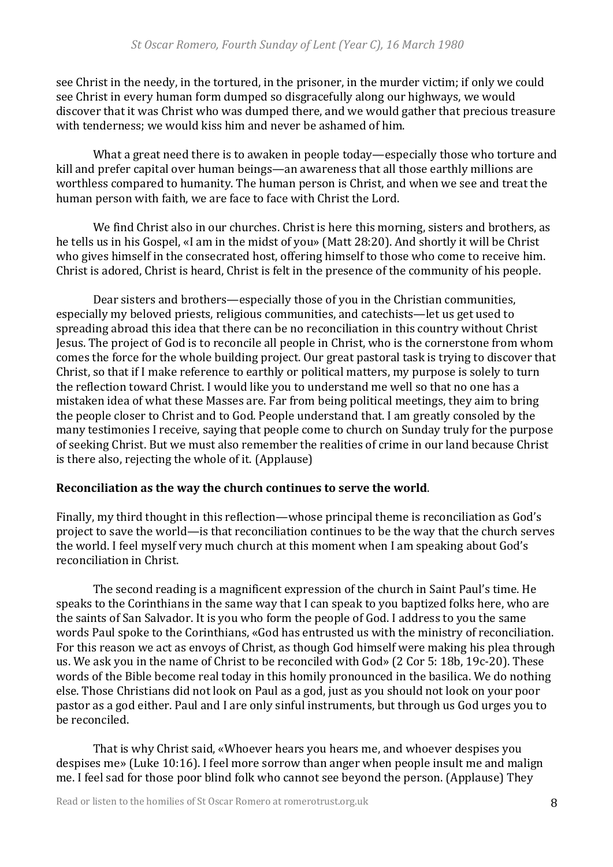see Christ in the needy, in the tortured, in the prisoner, in the murder victim; if only we could see Christ in every human form dumped so disgracefully along our highways, we would discover that it was Christ who was dumped there, and we would gather that precious treasure with tenderness; we would kiss him and never be ashamed of him.

What a great need there is to awaken in people today—especially those who torture and kill and prefer capital over human beings—an awareness that all those earthly millions are worthless compared to humanity. The human person is Christ, and when we see and treat the human person with faith, we are face to face with Christ the Lord.

We find Christ also in our churches. Christ is here this morning, sisters and brothers, as he tells us in his Gospel, «I am in the midst of you» (Matt 28:20). And shortly it will be Christ who gives himself in the consecrated host, offering himself to those who come to receive him. Christ is adored, Christ is heard, Christ is felt in the presence of the community of his people.

Dear sisters and brothers—especially those of you in the Christian communities, especially my beloved priests, religious communities, and catechists—let us get used to spreading abroad this idea that there can be no reconciliation in this country without Christ Jesus. The project of God is to reconcile all people in Christ, who is the cornerstone from whom comes the force for the whole building project. Our great pastoral task is trying to discover that Christ, so that if I make reference to earthly or political matters, my purpose is solely to turn the reflection toward Christ. I would like you to understand me well so that no one has a mistaken idea of what these Masses are. Far from being political meetings, they aim to bring the people closer to Christ and to God. People understand that. I am greatly consoled by the many testimonies I receive, saying that people come to church on Sunday truly for the purpose of seeking Christ. But we must also remember the realities of crime in our land because Christ is there also, rejecting the whole of it.  $(Applause)$ 

## **Reconciliation as the way the church continues to serve the world.**

Finally, my third thought in this reflection—whose principal theme is reconciliation as God's project to save the world—is that reconciliation continues to be the way that the church serves the world. I feel myself very much church at this moment when I am speaking about God's reconciliation in Christ.

The second reading is a magnificent expression of the church in Saint Paul's time. He speaks to the Corinthians in the same way that I can speak to you baptized folks here, who are the saints of San Salvador. It is you who form the people of God. I address to you the same words Paul spoke to the Corinthians, «God has entrusted us with the ministry of reconciliation. For this reason we act as envoys of Christ, as though God himself were making his plea through us. We ask you in the name of Christ to be reconciled with God» (2 Cor 5: 18b, 19c-20). These words of the Bible become real today in this homily pronounced in the basilica. We do nothing else. Those Christians did not look on Paul as a god, just as you should not look on your poor pastor as a god either. Paul and I are only sinful instruments, but through us God urges you to be reconciled.

That is why Christ said, «Whoever hears you hears me, and whoever despises you despises me» (Luke 10:16). I feel more sorrow than anger when people insult me and malign me. I feel sad for those poor blind folk who cannot see beyond the person. (Applause) They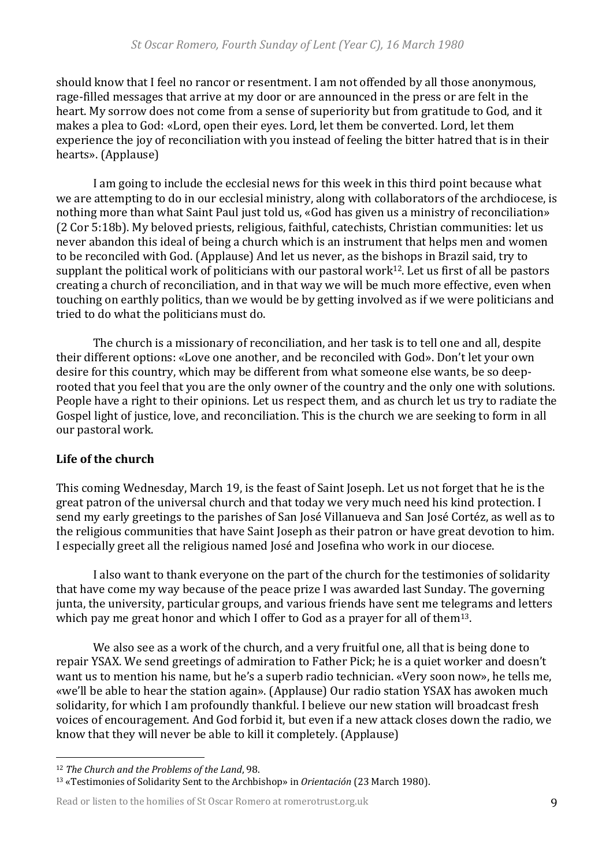should know that I feel no rancor or resentment. I am not offended by all those anonymous, rage-filled messages that arrive at my door or are announced in the press or are felt in the heart. My sorrow does not come from a sense of superiority but from gratitude to God, and it makes a plea to God: «Lord, open their eyes. Lord, let them be converted. Lord, let them experience the joy of reconciliation with you instead of feeling the bitter hatred that is in their hearts». (Applause)

I am going to include the ecclesial news for this week in this third point because what we are attempting to do in our ecclesial ministry, along with collaborators of the archdiocese, is nothing more than what Saint Paul just told us, «God has given us a ministry of reconciliation» (2 Cor 5:18b). My beloved priests, religious, faithful, catechists, Christian communities: let us never abandon this ideal of being a church which is an instrument that helps men and women to be reconciled with God. (Applause) And let us never, as the bishops in Brazil said, try to supplant the political work of politicians with our pastoral work<sup>12</sup>. Let us first of all be pastors creating a church of reconciliation, and in that way we will be much more effective, even when touching on earthly politics, than we would be by getting involved as if we were politicians and tried to do what the politicians must do.

The church is a missionary of reconciliation, and her task is to tell one and all, despite their different options: «Love one another, and be reconciled with God». Don't let your own desire for this country, which may be different from what someone else wants, be so deeprooted that you feel that you are the only owner of the country and the only one with solutions. People have a right to their opinions. Let us respect them, and as church let us try to radiate the Gospel light of justice, love, and reconciliation. This is the church we are seeking to form in all our pastoral work.

## Life of the church

This coming Wednesday, March 19, is the feast of Saint Joseph. Let us not forget that he is the great patron of the universal church and that today we very much need his kind protection. I send my early greetings to the parishes of San José Villanueva and San José Cortéz, as well as to the religious communities that have Saint Joseph as their patron or have great devotion to him. I especially greet all the religious named José and Josefina who work in our diocese.

I also want to thank everyone on the part of the church for the testimonies of solidarity that have come my way because of the peace prize I was awarded last Sunday. The governing junta, the university, particular groups, and various friends have sent me telegrams and letters which pay me great honor and which I offer to God as a prayer for all of them<sup>13</sup>.

We also see as a work of the church, and a very fruitful one, all that is being done to repair YSAX. We send greetings of admiration to Father Pick; he is a quiet worker and doesn't want us to mention his name, but he's a superb radio technician. «Very soon now», he tells me, «we'll be able to hear the station again». (Applause) Our radio station YSAX has awoken much solidarity, for which I am profoundly thankful. I believe our new station will broadcast fresh voices of encouragement. And God forbid it, but even if a new attack closes down the radio, we know that they will never be able to kill it completely. (Applause)

<sup>&</sup>lt;sup>12</sup> The Church and the Problems of the Land, 98.

<sup>&</sup>lt;sup>13</sup> «Testimonies of Solidarity Sent to the Archbishop» in *Orientación* (23 March 1980).

Read or listen to the homilies of St Oscar Romero at romerotrust.org.uk 9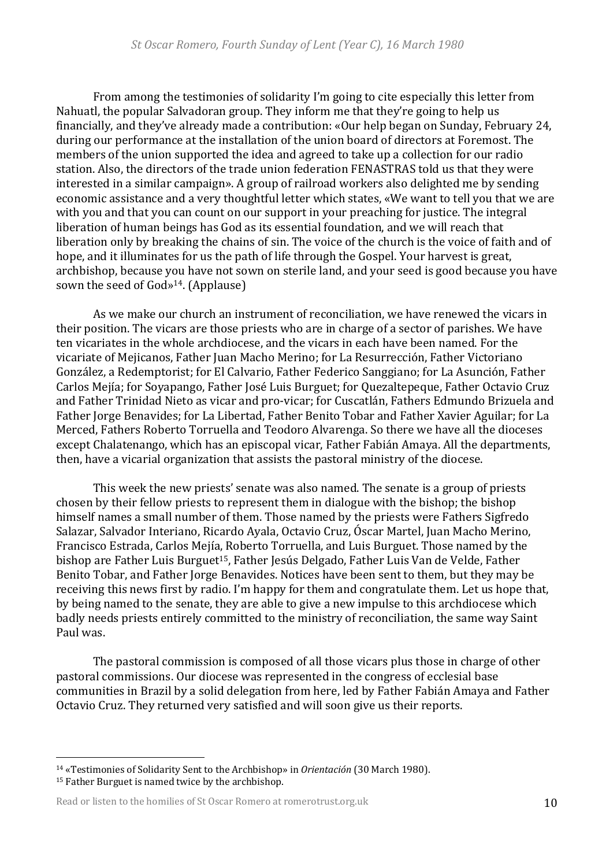From among the testimonies of solidarity I'm going to cite especially this letter from Nahuatl, the popular Salvadoran group. They inform me that they're going to help us financially, and they've already made a contribution: «Our help began on Sunday, February 24, during our performance at the installation of the union board of directors at Foremost. The members of the union supported the idea and agreed to take up a collection for our radio station. Also, the directors of the trade union federation FENASTRAS told us that they were interested in a similar campaign». A group of railroad workers also delighted me by sending economic assistance and a very thoughtful letter which states, «We want to tell you that we are with you and that you can count on our support in your preaching for justice. The integral liberation of human beings has God as its essential foundation, and we will reach that liberation only by breaking the chains of sin. The voice of the church is the voice of faith and of hope, and it illuminates for us the path of life through the Gospel. Your harvest is great, archbishop, because you have not sown on sterile land, and your seed is good because you have sown the seed of  $God<sub>9</sub><sup>14</sup>$ . (Applause)

As we make our church an instrument of reconciliation, we have renewed the vicars in their position. The vicars are those priests who are in charge of a sector of parishes. We have ten vicariates in the whole archdiocese, and the vicars in each have been named. For the vicariate of Mejicanos, Father Juan Macho Merino; for La Resurrección, Father Victoriano González, a Redemptorist; for El Calvario, Father Federico Sanggiano; for La Asunción, Father Carlos Mejía; for Soyapango, Father José Luis Burguet; for Quezaltepeque, Father Octavio Cruz and Father Trinidad Nieto as vicar and pro-vicar; for Cuscatlán, Fathers Edmundo Brizuela and Father Jorge Benavides; for La Libertad, Father Benito Tobar and Father Xavier Aguilar; for La Merced, Fathers Roberto Torruella and Teodoro Alvarenga. So there we have all the dioceses except Chalatenango, which has an episcopal vicar, Father Fabián Amaya. All the departments, then, have a vicarial organization that assists the pastoral ministry of the diocese.

This week the new priests' senate was also named. The senate is a group of priests chosen by their fellow priests to represent them in dialogue with the bishop; the bishop himself names a small number of them. Those named by the priests were Fathers Sigfredo Salazar, Salvador Interiano, Ricardo Ayala, Octavio Cruz, Óscar Martel, Juan Macho Merino, Francisco Estrada, Carlos Mejía, Roberto Torruella, and Luis Burguet. Those named by the bishop are Father Luis Burguet<sup>15</sup>, Father Jesús Delgado, Father Luis Van de Velde, Father Benito Tobar, and Father Jorge Benavides. Notices have been sent to them, but they may be receiving this news first by radio. I'm happy for them and congratulate them. Let us hope that, by being named to the senate, they are able to give a new impulse to this archdiocese which badly needs priests entirely committed to the ministry of reconciliation, the same way Saint Paul was.

The pastoral commission is composed of all those vicars plus those in charge of other pastoral commissions. Our diocese was represented in the congress of ecclesial base communities in Brazil by a solid delegation from here, led by Father Fabián Amaya and Father Octavio Cruz. They returned very satisfied and will soon give us their reports.

<sup>&</sup>lt;sup>14</sup> «Testimonies of Solidarity Sent to the Archbishop» in *Orientación* (30 March 1980).

<sup>&</sup>lt;sup>15</sup> Father Burguet is named twice by the archbishop.

Read or listen to the homilies of St Oscar Romero at romerotrust.org.uk 10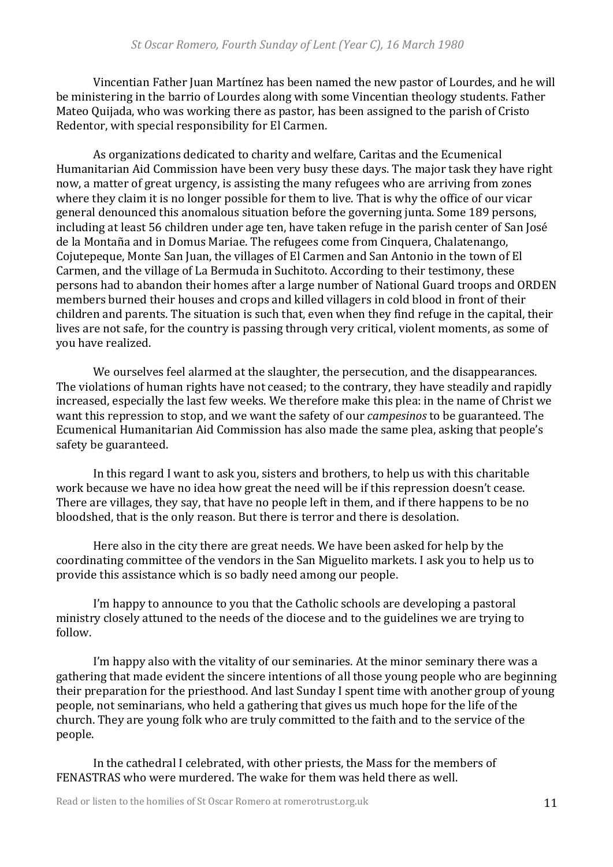Vincentian Father Juan Martínez has been named the new pastor of Lourdes, and he will be ministering in the barrio of Lourdes along with some Vincentian theology students. Father Mateo Quijada, who was working there as pastor, has been assigned to the parish of Cristo Redentor, with special responsibility for El Carmen.

As organizations dedicated to charity and welfare, Caritas and the Ecumenical Humanitarian Aid Commission have been very busy these days. The major task they have right now, a matter of great urgency, is assisting the many refugees who are arriving from zones where they claim it is no longer possible for them to live. That is why the office of our vicar general denounced this anomalous situation before the governing junta. Some 189 persons, including at least 56 children under age ten, have taken refuge in the parish center of San José de la Montaña and in Domus Mariae. The refugees come from Cinquera, Chalatenango, Cojutepeque, Monte San Juan, the villages of El Carmen and San Antonio in the town of El Carmen, and the village of La Bermuda in Suchitoto. According to their testimony, these persons had to abandon their homes after a large number of National Guard troops and ORDEN members burned their houses and crops and killed villagers in cold blood in front of their children and parents. The situation is such that, even when they find refuge in the capital, their lives are not safe, for the country is passing through very critical, violent moments, as some of you have realized.

We ourselves feel alarmed at the slaughter, the persecution, and the disappearances. The violations of human rights have not ceased; to the contrary, they have steadily and rapidly increased, especially the last few weeks. We therefore make this plea: in the name of Christ we want this repression to stop, and we want the safety of our *campesinos* to be guaranteed. The Ecumenical Humanitarian Aid Commission has also made the same plea, asking that people's safety be guaranteed.

In this regard I want to ask you, sisters and brothers, to help us with this charitable work because we have no idea how great the need will be if this repression doesn't cease. There are villages, they say, that have no people left in them, and if there happens to be no bloodshed, that is the only reason. But there is terror and there is desolation.

Here also in the city there are great needs. We have been asked for help by the coordinating committee of the vendors in the San Miguelito markets. I ask you to help us to provide this assistance which is so badly need among our people.

I'm happy to announce to you that the Catholic schools are developing a pastoral ministry closely attuned to the needs of the diocese and to the guidelines we are trying to follow. 

I'm happy also with the vitality of our seminaries. At the minor seminary there was a gathering that made evident the sincere intentions of all those young people who are beginning their preparation for the priesthood. And last Sunday I spent time with another group of young people, not seminarians, who held a gathering that gives us much hope for the life of the church. They are young folk who are truly committed to the faith and to the service of the people. 

In the cathedral I celebrated, with other priests, the Mass for the members of FENASTRAS who were murdered. The wake for them was held there as well.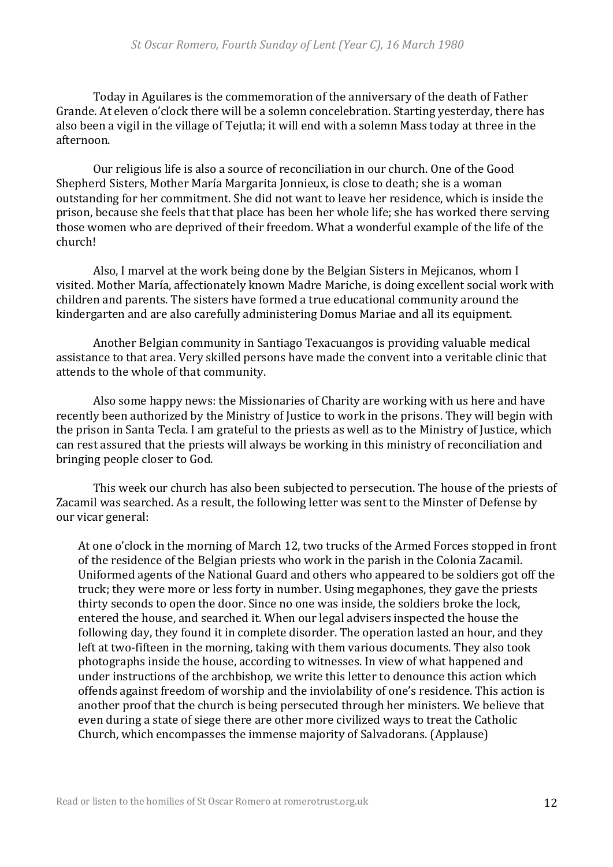Today in Aguilares is the commemoration of the anniversary of the death of Father Grande. At eleven o'clock there will be a solemn concelebration. Starting vesterday, there has also been a vigil in the village of Tejutla; it will end with a solemn Mass today at three in the afternoon.

Our religious life is also a source of reconciliation in our church. One of the Good Shepherd Sisters, Mother María Margarita Jonnieux, is close to death; she is a woman outstanding for her commitment. She did not want to leave her residence, which is inside the prison, because she feels that that place has been her whole life; she has worked there serving those women who are deprived of their freedom. What a wonderful example of the life of the church!

Also, I marvel at the work being done by the Belgian Sisters in Mejicanos, whom I visited. Mother María, affectionately known Madre Mariche, is doing excellent social work with children and parents. The sisters have formed a true educational community around the kindergarten and are also carefully administering Domus Mariae and all its equipment.

Another Belgian community in Santiago Texacuangos is providing valuable medical assistance to that area. Very skilled persons have made the convent into a veritable clinic that attends to the whole of that community.

Also some happy news: the Missionaries of Charity are working with us here and have recently been authorized by the Ministry of Justice to work in the prisons. They will begin with the prison in Santa Tecla. I am grateful to the priests as well as to the Ministry of Justice, which can rest assured that the priests will always be working in this ministry of reconciliation and bringing people closer to God.

This week our church has also been subjected to persecution. The house of the priests of Zacamil was searched. As a result, the following letter was sent to the Minster of Defense by our vicar general:

At one o'clock in the morning of March 12, two trucks of the Armed Forces stopped in front of the residence of the Belgian priests who work in the parish in the Colonia Zacamil. Uniformed agents of the National Guard and others who appeared to be soldiers got off the truck; they were more or less forty in number. Using megaphones, they gave the priests thirty seconds to open the door. Since no one was inside, the soldiers broke the lock, entered the house, and searched it. When our legal advisers inspected the house the following day, they found it in complete disorder. The operation lasted an hour, and they left at two-fifteen in the morning, taking with them various documents. They also took photographs inside the house, according to witnesses. In view of what happened and under instructions of the archbishop, we write this letter to denounce this action which offends against freedom of worship and the inviolability of one's residence. This action is another proof that the church is being persecuted through her ministers. We believe that even during a state of siege there are other more civilized ways to treat the Catholic Church, which encompasses the immense majority of Salvadorans. (Applause)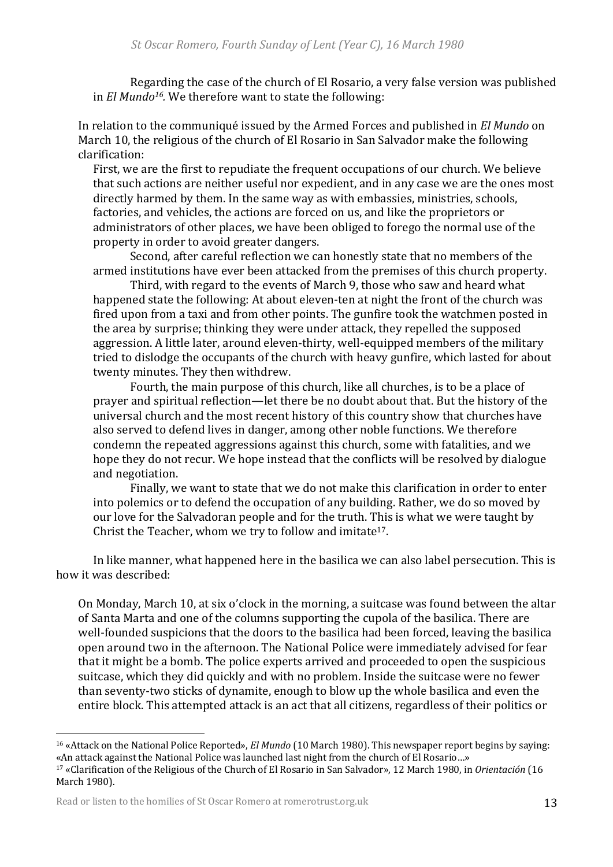Regarding the case of the church of El Rosario, a very false version was published in *El Mundo<sup>16</sup>*. We therefore want to state the following:

In relation to the communiqué issued by the Armed Forces and published in *El Mundo* on March 10, the religious of the church of El Rosario in San Salvador make the following clarification: 

First, we are the first to repudiate the frequent occupations of our church. We believe that such actions are neither useful nor expedient, and in any case we are the ones most directly harmed by them. In the same way as with embassies, ministries, schools, factories, and vehicles, the actions are forced on us, and like the proprietors or administrators of other places, we have been obliged to forego the normal use of the property in order to avoid greater dangers.

Second, after careful reflection we can honestly state that no members of the armed institutions have ever been attacked from the premises of this church property.

Third, with regard to the events of March 9, those who saw and heard what happened state the following: At about eleven-ten at night the front of the church was fired upon from a taxi and from other points. The gunfire took the watchmen posted in the area by surprise; thinking they were under attack, they repelled the supposed aggression. A little later, around eleven-thirty, well-equipped members of the military tried to dislodge the occupants of the church with heavy gunfire, which lasted for about twenty minutes. They then withdrew.

Fourth, the main purpose of this church, like all churches, is to be a place of prayer and spiritual reflection—let there be no doubt about that. But the history of the universal church and the most recent history of this country show that churches have also served to defend lives in danger, among other noble functions. We therefore condemn the repeated aggressions against this church, some with fatalities, and we hope they do not recur. We hope instead that the conflicts will be resolved by dialogue and negotiation.

Finally, we want to state that we do not make this clarification in order to enter into polemics or to defend the occupation of any building. Rather, we do so moved by our love for the Salvadoran people and for the truth. This is what we were taught by Christ the Teacher, whom we try to follow and imitate<sup>17</sup>.

In like manner, what happened here in the basilica we can also label persecution. This is how it was described:

On Monday, March 10, at six o'clock in the morning, a suitcase was found between the altar of Santa Marta and one of the columns supporting the cupola of the basilica. There are well-founded suspicions that the doors to the basilica had been forced, leaving the basilica open around two in the afternoon. The National Police were immediately advised for fear that it might be a bomb. The police experts arrived and proceeded to open the suspicious suitcase, which they did quickly and with no problem. Inside the suitcase were no fewer than seventy-two sticks of dynamite, enough to blow up the whole basilica and even the entire block. This attempted attack is an act that all citizens, regardless of their politics or

<sup>&</sup>lt;sup>16</sup> «Attack on the National Police Reported», *El Mundo* (10 March 1980). This newspaper report begins by saying: «An attack against the National Police was launched last night from the church of El Rosario…» <sup>17</sup> «Clarification of the Religious of the Church of El Rosario in San Salvador», 12 March 1980, in *Orientación* (16 March 1980).

Read or listen to the homilies of St Oscar Romero at romerotrust.org.uk 13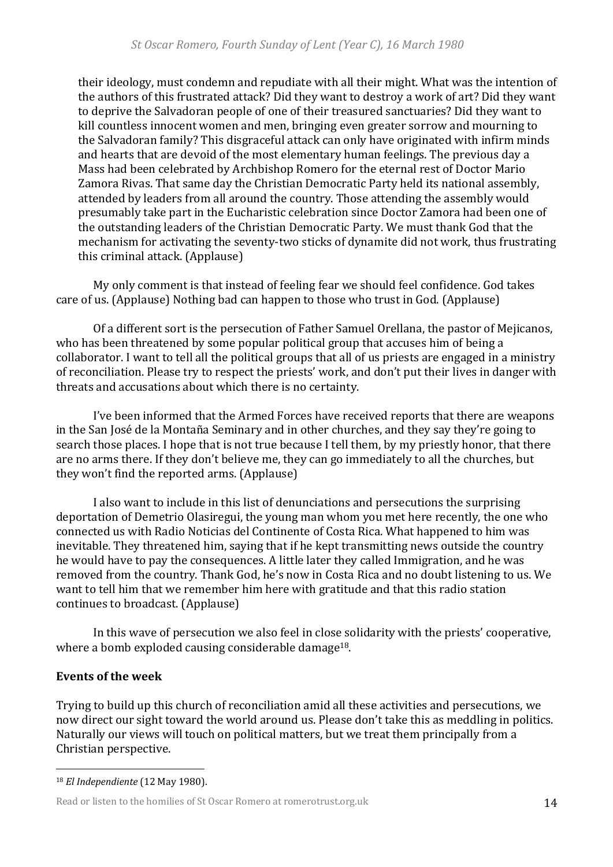their ideology, must condemn and repudiate with all their might. What was the intention of the authors of this frustrated attack? Did they want to destroy a work of art? Did they want to deprive the Salvadoran people of one of their treasured sanctuaries? Did they want to kill countless innocent women and men, bringing even greater sorrow and mourning to the Salvadoran family? This disgraceful attack can only have originated with infirm minds and hearts that are devoid of the most elementary human feelings. The previous day a Mass had been celebrated by Archbishop Romero for the eternal rest of Doctor Mario Zamora Rivas. That same day the Christian Democratic Party held its national assembly, attended by leaders from all around the country. Those attending the assembly would presumably take part in the Eucharistic celebration since Doctor Zamora had been one of the outstanding leaders of the Christian Democratic Party. We must thank God that the mechanism for activating the seventy-two sticks of dynamite did not work, thus frustrating this criminal attack. (Applause)

My only comment is that instead of feeling fear we should feel confidence. God takes care of us. (Applause) Nothing bad can happen to those who trust in God. (Applause)

Of a different sort is the persecution of Father Samuel Orellana, the pastor of Mejicanos, who has been threatened by some popular political group that accuses him of being a collaborator. I want to tell all the political groups that all of us priests are engaged in a ministry of reconciliation. Please try to respect the priests' work, and don't put their lives in danger with threats and accusations about which there is no certainty.

I've been informed that the Armed Forces have received reports that there are weapons in the San José de la Montaña Seminary and in other churches, and they say they're going to search those places. I hope that is not true because I tell them, by my priestly honor, that there are no arms there. If they don't believe me, they can go immediately to all the churches, but they won't find the reported arms. (Applause)

I also want to include in this list of denunciations and persecutions the surprising deportation of Demetrio Olasiregui, the young man whom you met here recently, the one who connected us with Radio Noticias del Continente of Costa Rica. What happened to him was inevitable. They threatened him, saying that if he kept transmitting news outside the country he would have to pay the consequences. A little later they called Immigration, and he was removed from the country. Thank God, he's now in Costa Rica and no doubt listening to us. We want to tell him that we remember him here with gratitude and that this radio station continues to broadcast. (Applause)

In this wave of persecution we also feel in close solidarity with the priests' cooperative, where a bomb exploded causing considerable damage<sup>18</sup>.

#### **Events of the week**

Trying to build up this church of reconciliation amid all these activities and persecutions, we now direct our sight toward the world around us. Please don't take this as meddling in politics. Naturally our views will touch on political matters, but we treat them principally from a Christian perspective.

<sup>18</sup> *El Independiente* (12 May 1980). 

Read or listen to the homilies of St Oscar Romero at romerotrust.org.uk 14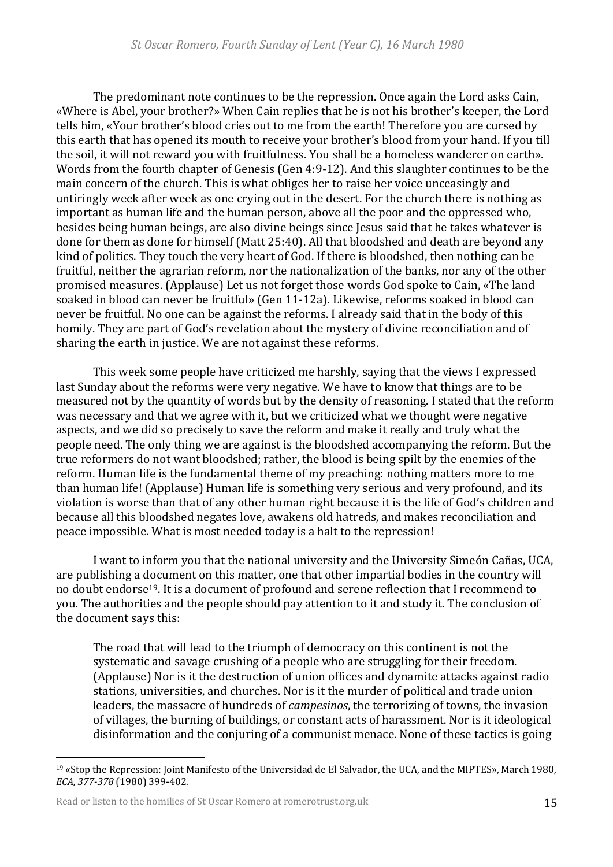The predominant note continues to be the repression. Once again the Lord asks Cain, «Where is Abel, your brother?» When Cain replies that he is not his brother's keeper, the Lord tells him, «Your brother's blood cries out to me from the earth! Therefore you are cursed by this earth that has opened its mouth to receive your brother's blood from your hand. If you till the soil, it will not reward you with fruitfulness. You shall be a homeless wanderer on earth». Words from the fourth chapter of Genesis (Gen  $4:9-12$ ). And this slaughter continues to be the main concern of the church. This is what obliges her to raise her voice unceasingly and untiringly week after week as one crying out in the desert. For the church there is nothing as important as human life and the human person, above all the poor and the oppressed who, besides being human beings, are also divine beings since Jesus said that he takes whatever is done for them as done for himself (Matt 25:40). All that bloodshed and death are beyond any kind of politics. They touch the very heart of God. If there is bloodshed, then nothing can be fruitful, neither the agrarian reform, nor the nationalization of the banks, nor any of the other promised measures. (Applause) Let us not forget those words God spoke to Cain, «The land soaked in blood can never be fruitful» (Gen 11-12a). Likewise, reforms soaked in blood can never be fruitful. No one can be against the reforms. I already said that in the body of this homily. They are part of God's revelation about the mystery of divine reconciliation and of sharing the earth in justice. We are not against these reforms.

This week some people have criticized me harshly, saying that the views I expressed last Sunday about the reforms were very negative. We have to know that things are to be measured not by the quantity of words but by the density of reasoning. I stated that the reform was necessary and that we agree with it, but we criticized what we thought were negative aspects, and we did so precisely to save the reform and make it really and truly what the people need. The only thing we are against is the bloodshed accompanying the reform. But the true reformers do not want bloodshed; rather, the blood is being spilt by the enemies of the reform. Human life is the fundamental theme of my preaching: nothing matters more to me than human life! (Applause) Human life is something very serious and very profound, and its violation is worse than that of any other human right because it is the life of God's children and because all this bloodshed negates love, awakens old hatreds, and makes reconciliation and peace impossible. What is most needed today is a halt to the repression!

I want to inform you that the national university and the University Simeón Cañas, UCA, are publishing a document on this matter, one that other impartial bodies in the country will no doubt endorse<sup>19</sup>. It is a document of profound and serene reflection that I recommend to you. The authorities and the people should pay attention to it and study it. The conclusion of the document says this:

The road that will lead to the triumph of democracy on this continent is not the systematic and savage crushing of a people who are struggling for their freedom. (Applause) Nor is it the destruction of union offices and dynamite attacks against radio stations, universities, and churches. Nor is it the murder of political and trade union leaders, the massacre of hundreds of *campesinos*, the terrorizing of towns, the invasion of villages, the burning of buildings, or constant acts of harassment. Nor is it ideological disinformation and the conjuring of a communist menace. None of these tactics is going

<sup>&</sup>lt;sup>19</sup> «Stop the Repression: Joint Manifesto of the Universidad de El Salvador, the UCA, and the MIPTES», March 1980, *ECA, 377-378* (1980) 399-402.

Read or listen to the homilies of St Oscar Romero at romerotrust.org.uk 15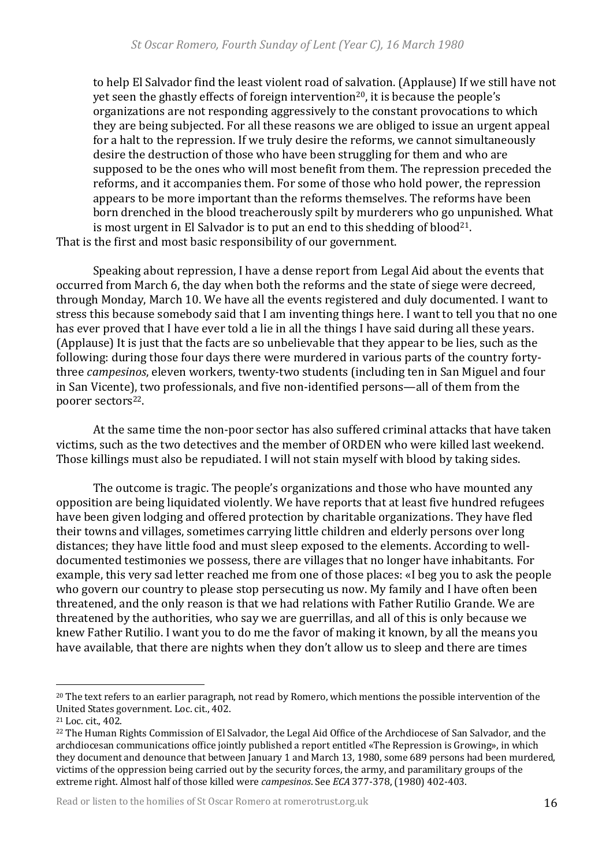to help El Salvador find the least violent road of salvation. (Applause) If we still have not yet seen the ghastly effects of foreign intervention<sup>20</sup>, it is because the people's organizations are not responding aggressively to the constant provocations to which they are being subjected. For all these reasons we are obliged to issue an urgent appeal for a halt to the repression. If we truly desire the reforms, we cannot simultaneously desire the destruction of those who have been struggling for them and who are supposed to be the ones who will most benefit from them. The repression preceded the reforms, and it accompanies them. For some of those who hold power, the repression appears to be more important than the reforms themselves. The reforms have been born drenched in the blood treacherously spilt by murderers who go unpunished. What is most urgent in El Salvador is to put an end to this shedding of blood<sup>21</sup>. That is the first and most basic responsibility of our government.

Speaking about repression, I have a dense report from Legal Aid about the events that occurred from March 6, the day when both the reforms and the state of siege were decreed, through Monday, March 10. We have all the events registered and duly documented. I want to stress this because somebody said that I am inventing things here. I want to tell you that no one has ever proved that I have ever told a lie in all the things I have said during all these years. (Applause) It is just that the facts are so unbelievable that they appear to be lies, such as the following: during those four days there were murdered in various parts of the country fortythree *campesinos*, eleven workers, twenty-two students (including ten in San Miguel and four in San Vicente), two professionals, and five non-identified persons—all of them from the poorer sectors<sup>22</sup>.

At the same time the non-poor sector has also suffered criminal attacks that have taken victims, such as the two detectives and the member of ORDEN who were killed last weekend. Those killings must also be repudiated. I will not stain myself with blood by taking sides.

The outcome is tragic. The people's organizations and those who have mounted any opposition are being liquidated violently. We have reports that at least five hundred refugees have been given lodging and offered protection by charitable organizations. They have fled their towns and villages, sometimes carrying little children and elderly persons over long distances; they have little food and must sleep exposed to the elements. According to welldocumented testimonies we possess, there are villages that no longer have inhabitants. For example, this very sad letter reached me from one of those places: «I beg you to ask the people who govern our country to please stop persecuting us now. My family and I have often been threatened, and the only reason is that we had relations with Father Rutilio Grande. We are threatened by the authorities, who say we are guerrillas, and all of this is only because we knew Father Rutilio. I want you to do me the favor of making it known, by all the means you have available, that there are nights when they don't allow us to sleep and there are times

Read or listen to the homilies of St Oscar Romero at romerotrust.org.uk 16

 $20$  The text refers to an earlier paragraph, not read by Romero, which mentions the possible intervention of the United States government. Loc. cit., 402.

<sup>&</sup>lt;sup>21</sup> Loc. cit., 402.

<sup>&</sup>lt;sup>22</sup> The Human Rights Commission of El Salvador, the Legal Aid Office of the Archdiocese of San Salvador, and the archdiocesan communications office jointly published a report entitled «The Repression is Growing», in which they document and denounce that between January 1 and March 13, 1980, some 689 persons had been murdered, victims of the oppression being carried out by the security forces, the army, and paramilitary groups of the extreme right. Almost half of those killed were *campesinos*. See *ECA* 377-378, (1980) 402-403.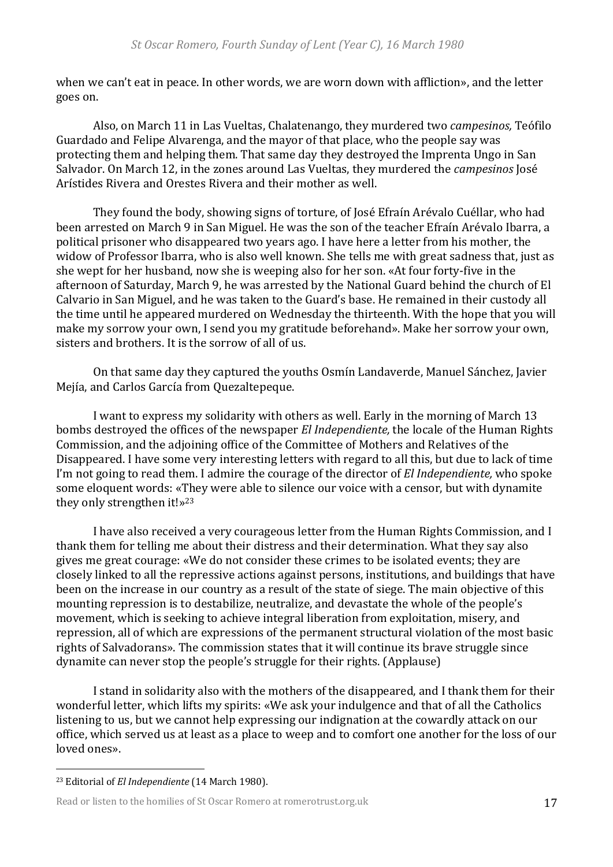when we can't eat in peace. In other words, we are worn down with affliction», and the letter goes on.

Also, on March 11 in Las Vueltas, Chalatenango, they murdered two *campesinos*, Teófilo Guardado and Felipe Alvarenga, and the mayor of that place, who the people say was protecting them and helping them. That same day they destroyed the Imprenta Ungo in San Salvador. On March 12, in the zones around Las Vueltas, they murdered the *campesinos* José Arístides Rivera and Orestes Rivera and their mother as well.

They found the body, showing signs of torture, of José Efraín Arévalo Cuéllar, who had been arrested on March 9 in San Miguel. He was the son of the teacher Efraín Arévalo Ibarra, a political prisoner who disappeared two years ago. I have here a letter from his mother, the widow of Professor Ibarra, who is also well known. She tells me with great sadness that, just as she wept for her husband, now she is weeping also for her son. «At four forty-five in the afternoon of Saturday, March 9, he was arrested by the National Guard behind the church of El Calvario in San Miguel, and he was taken to the Guard's base. He remained in their custody all the time until he appeared murdered on Wednesday the thirteenth. With the hope that you will make my sorrow your own, I send you my gratitude beforehand». Make her sorrow your own, sisters and brothers. It is the sorrow of all of us.

On that same day they captured the youths Osmín Landaverde, Manuel Sánchez, Javier Mejía, and Carlos García from Quezaltepeque.

I want to express my solidarity with others as well. Early in the morning of March 13 bombs destroyed the offices of the newspaper *El Independiente*, the locale of the Human Rights Commission, and the adjoining office of the Committee of Mothers and Relatives of the Disappeared. I have some very interesting letters with regard to all this, but due to lack of time I'm not going to read them. I admire the courage of the director of *El Independiente*, who spoke some eloquent words: «They were able to silence our voice with a censor, but with dynamite they only strengthen it!» $23$ 

I have also received a very courageous letter from the Human Rights Commission, and I thank them for telling me about their distress and their determination. What they say also gives me great courage: «We do not consider these crimes to be isolated events; they are closely linked to all the repressive actions against persons, institutions, and buildings that have been on the increase in our country as a result of the state of siege. The main objective of this mounting repression is to destabilize, neutralize, and devastate the whole of the people's movement, which is seeking to achieve integral liberation from exploitation, misery, and repression, all of which are expressions of the permanent structural violation of the most basic rights of Salvadorans». The commission states that it will continue its brave struggle since dynamite can never stop the people's struggle for their rights. (Applause)

I stand in solidarity also with the mothers of the disappeared, and I thank them for their wonderful letter, which lifts my spirits: «We ask your indulgence and that of all the Catholics listening to us, but we cannot help expressing our indignation at the cowardly attack on our office, which served us at least as a place to weep and to comfort one another for the loss of our loved ones».

<sup>&</sup>lt;sup>23</sup> Editorial of *El Independiente* (14 March 1980).

Read or listen to the homilies of St Oscar Romero at romerotrust.org.uk 17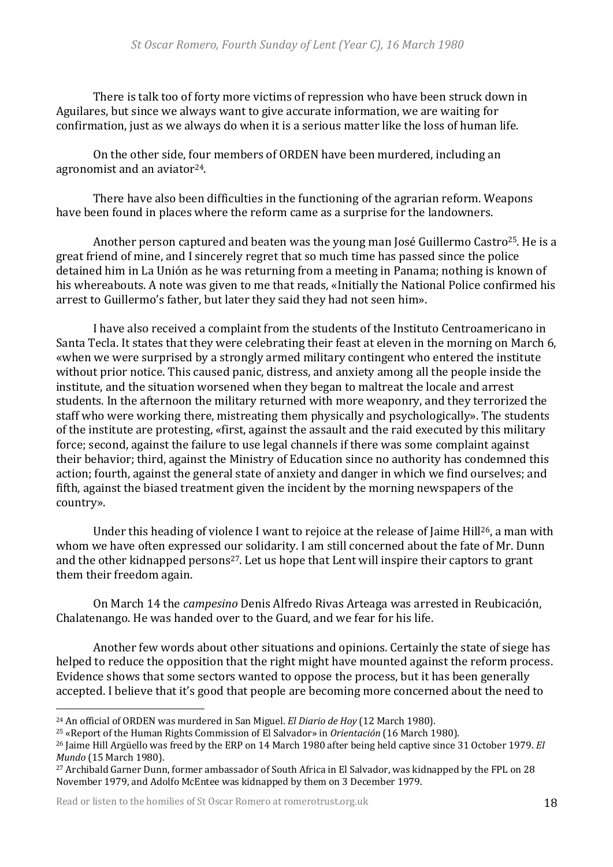There is talk too of forty more victims of repression who have been struck down in Aguilares, but since we always want to give accurate information, we are waiting for confirmation, just as we always do when it is a serious matter like the loss of human life.

On the other side, four members of ORDEN have been murdered, including an agronomist and an aviator $24$ .

There have also been difficulties in the functioning of the agrarian reform. Weapons have been found in places where the reform came as a surprise for the landowners.

Another person captured and beaten was the young man José Guillermo Castro<sup>25</sup>. He is a great friend of mine, and I sincerely regret that so much time has passed since the police detained him in La Unión as he was returning from a meeting in Panama; nothing is known of his whereabouts. A note was given to me that reads, «Initially the National Police confirmed his arrest to Guillermo's father, but later they said they had not seen him».

I have also received a complaint from the students of the Instituto Centroamericano in Santa Tecla. It states that they were celebrating their feast at eleven in the morning on March 6, «when we were surprised by a strongly armed military contingent who entered the institute without prior notice. This caused panic, distress, and anxiety among all the people inside the institute, and the situation worsened when they began to maltreat the locale and arrest students. In the afternoon the military returned with more weaponry, and they terrorized the staff who were working there, mistreating them physically and psychologically». The students of the institute are protesting, «first, against the assault and the raid executed by this military force; second, against the failure to use legal channels if there was some complaint against their behavior; third, against the Ministry of Education since no authority has condemned this action; fourth, against the general state of anxiety and danger in which we find ourselves; and fifth, against the biased treatment given the incident by the morning newspapers of the country».

Under this heading of violence I want to rejoice at the release of Jaime Hill<sup>26</sup>, a man with whom we have often expressed our solidarity. I am still concerned about the fate of Mr. Dunn and the other kidnapped persons<sup>27</sup>. Let us hope that Lent will inspire their captors to grant them their freedom again.

On March 14 the *campesino* Denis Alfredo Rivas Arteaga was arrested in Reubicación, Chalatenango. He was handed over to the Guard, and we fear for his life.

Another few words about other situations and opinions. Certainly the state of siege has helped to reduce the opposition that the right might have mounted against the reform process. Evidence shows that some sectors wanted to oppose the process, but it has been generally accepted. I believe that it's good that people are becoming more concerned about the need to

Read or listen to the homilies of St Oscar Romero at romerotrust.org.uk 18

<sup>&</sup>lt;sup>24</sup> An official of ORDEN was murdered in San Miguel. *El Diario de Hov* (12 March 1980).

<sup>&</sup>lt;sup>25</sup> «Report of the Human Rights Commission of El Salvador» in *Orientación* (16 March 1980).

<sup>&</sup>lt;sup>26</sup> Jaime Hill Argüello was freed by the ERP on 14 March 1980 after being held captive since 31 October 1979. *El Mundo* (15 March 1980).

<sup>&</sup>lt;sup>27</sup> Archibald Garner Dunn, former ambassador of South Africa in El Salvador, was kidnapped by the FPL on 28 November 1979, and Adolfo McEntee was kidnapped by them on 3 December 1979.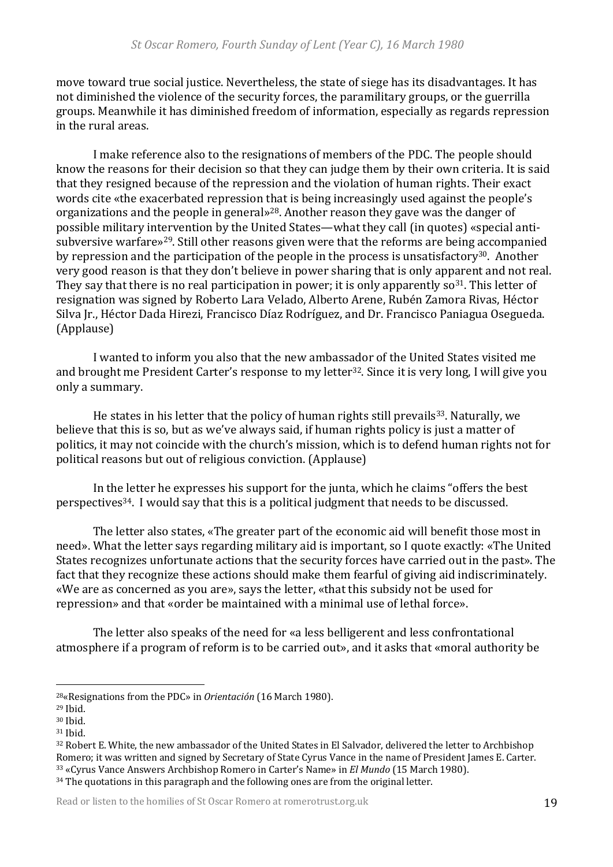move toward true social justice. Nevertheless, the state of siege has its disadvantages. It has not diminished the violence of the security forces, the paramilitary groups, or the guerrilla groups. Meanwhile it has diminished freedom of information, especially as regards repression in the rural areas.

I make reference also to the resignations of members of the PDC. The people should know the reasons for their decision so that they can judge them by their own criteria. It is said that they resigned because of the repression and the violation of human rights. Their exact words cite «the exacerbated repression that is being increasingly used against the people's organizations and the people in general»<sup>28</sup>. Another reason they gave was the danger of possible military intervention by the United States—what they call (in quotes) «special antisubversive warfare»<sup>29</sup>. Still other reasons given were that the reforms are being accompanied by repression and the participation of the people in the process is unsatisfactory<sup>30</sup>. Another very good reason is that they don't believe in power sharing that is only apparent and not real. They say that there is no real participation in power; it is only apparently  $\sigma^{31}$ . This letter of resignation was signed by Roberto Lara Velado, Alberto Arene, Rubén Zamora Rivas, Héctor Silva Jr., Héctor Dada Hirezi, Francisco Díaz Rodríguez, and Dr. Francisco Paniagua Osegueda. (Applause) 

I wanted to inform you also that the new ambassador of the United States visited me and brought me President Carter's response to my letter<sup>32</sup>. Since it is very long, I will give you only a summary.

He states in his letter that the policy of human rights still prevails<sup>33</sup>. Naturally, we believe that this is so, but as we've always said, if human rights policy is just a matter of politics, it may not coincide with the church's mission, which is to defend human rights not for political reasons but out of religious conviction. (Applause)

In the letter he expresses his support for the junta, which he claims "offers the best perspectives<sup>34</sup>. I would say that this is a political judgment that needs to be discussed.

The letter also states, «The greater part of the economic aid will benefit those most in need». What the letter says regarding military aid is important, so I quote exactly: «The United States recognizes unfortunate actions that the security forces have carried out in the past». The fact that they recognize these actions should make them fearful of giving aid indiscriminately. «We are as concerned as you are», says the letter, «that this subsidy not be used for repression» and that «order be maintained with a minimal use of lethal force».

The letter also speaks of the need for «a less belligerent and less confrontational atmosphere if a program of reform is to be carried out», and it asks that «moral authority be

<sup>&</sup>lt;sup>28</sup>«Resignations from the PDC» in *Orientación* (16 March 1980).

<sup>29</sup> Ibid.

<sup>30</sup> Ibid.

<sup>31</sup> Ibid.

<sup>32</sup> Robert E. White, the new ambassador of the United States in El Salvador, delivered the letter to Archbishop Romero; it was written and signed by Secretary of State Cyrus Vance in the name of President James E. Carter. 33 «Cyrus Vance Answers Archbishop Romero in Carter's Name» in *El Mundo* (15 March 1980). 34 The quotations in this paragraph and the following ones are from the original letter.

Read or listen to the homilies of St Oscar Romero at romerotrust.org.uk 19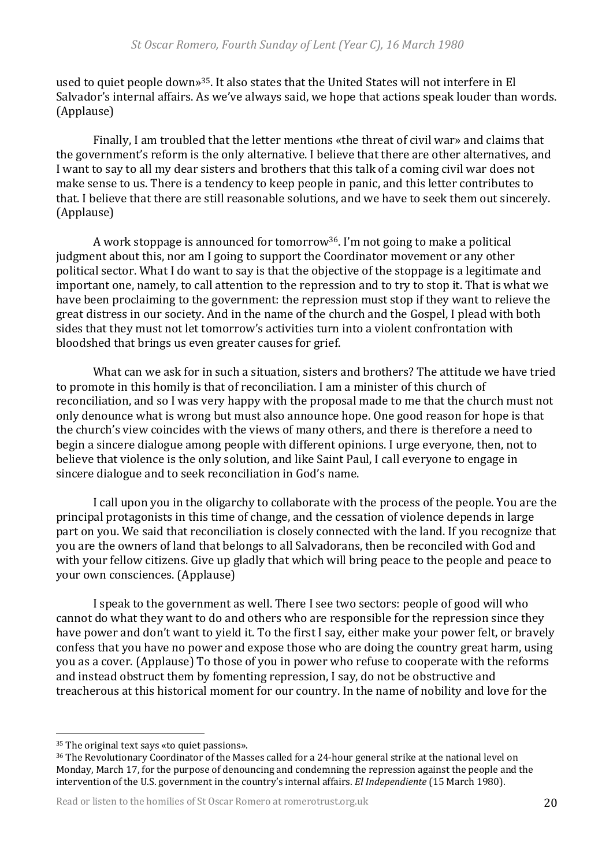used to quiet people down»<sup>35</sup>. It also states that the United States will not interfere in El Salvador's internal affairs. As we've always said, we hope that actions speak louder than words. (Applause) 

Finally, I am troubled that the letter mentions «the threat of civil war» and claims that the government's reform is the only alternative. I believe that there are other alternatives, and I want to say to all my dear sisters and brothers that this talk of a coming civil war does not make sense to us. There is a tendency to keep people in panic, and this letter contributes to that. I believe that there are still reasonable solutions, and we have to seek them out sincerely. (Applause) 

A work stoppage is announced for tomorrow<sup>36</sup>. I'm not going to make a political judgment about this, nor am I going to support the Coordinator movement or any other political sector. What I do want to say is that the objective of the stoppage is a legitimate and important one, namely, to call attention to the repression and to try to stop it. That is what we have been proclaiming to the government: the repression must stop if they want to relieve the great distress in our society. And in the name of the church and the Gospel, I plead with both sides that they must not let tomorrow's activities turn into a violent confrontation with bloodshed that brings us even greater causes for grief.

What can we ask for in such a situation, sisters and brothers? The attitude we have tried to promote in this homily is that of reconciliation. I am a minister of this church of reconciliation, and so I was very happy with the proposal made to me that the church must not only denounce what is wrong but must also announce hope. One good reason for hope is that the church's view coincides with the views of many others, and there is therefore a need to begin a sincere dialogue among people with different opinions. I urge everyone, then, not to believe that violence is the only solution, and like Saint Paul, I call everyone to engage in sincere dialogue and to seek reconciliation in God's name.

I call upon you in the oligarchy to collaborate with the process of the people. You are the principal protagonists in this time of change, and the cessation of violence depends in large part on you. We said that reconciliation is closely connected with the land. If you recognize that you are the owners of land that belongs to all Salvadorans, then be reconciled with God and with your fellow citizens. Give up gladly that which will bring peace to the people and peace to your own consciences. (Applause)

I speak to the government as well. There I see two sectors: people of good will who cannot do what they want to do and others who are responsible for the repression since they have power and don't want to yield it. To the first I say, either make your power felt, or bravely confess that you have no power and expose those who are doing the country great harm, using you as a cover. (Applause) To those of you in power who refuse to cooperate with the reforms and instead obstruct them by fomenting repression. I say, do not be obstructive and treacherous at this historical moment for our country. In the name of nobility and love for the

Read or listen to the homilies of St Oscar Romero at romerotrust.org.uk 20

<sup>&</sup>lt;sup>35</sup> The original text says «to quiet passions».

<sup>&</sup>lt;sup>36</sup> The Revolutionary Coordinator of the Masses called for a 24-hour general strike at the national level on Monday, March 17, for the purpose of denouncing and condemning the repression against the people and the intervention of the U.S. government in the country's internal affairs. *El Independiente* (15 March 1980).